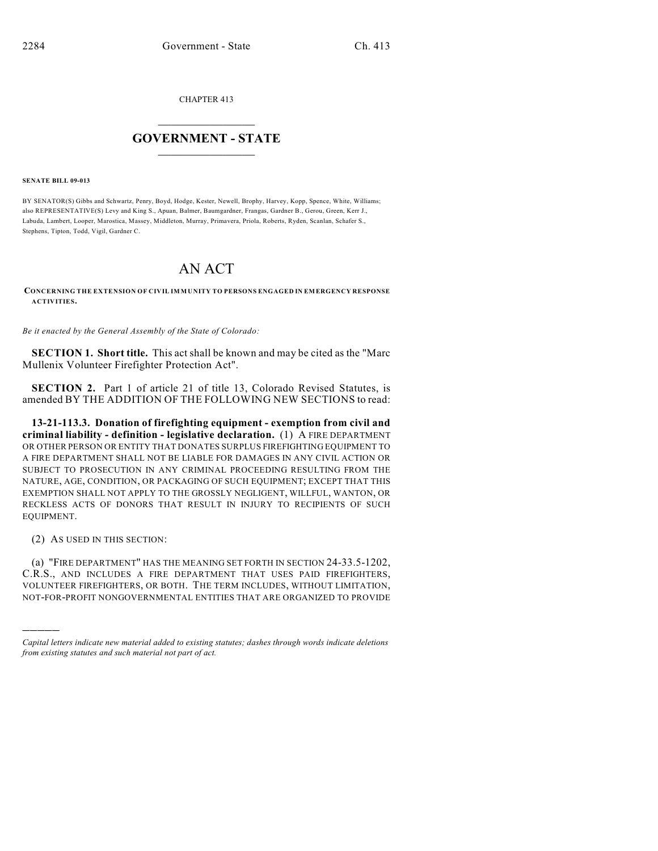CHAPTER 413

## $\overline{\phantom{a}}$  . The set of the set of the set of the set of the set of the set of the set of the set of the set of the set of the set of the set of the set of the set of the set of the set of the set of the set of the set o **GOVERNMENT - STATE**  $\_$

**SENATE BILL 09-013**

BY SENATOR(S) Gibbs and Schwartz, Penry, Boyd, Hodge, Kester, Newell, Brophy, Harvey, Kopp, Spence, White, Williams; also REPRESENTATIVE(S) Levy and King S., Apuan, Balmer, Baumgardner, Frangas, Gardner B., Gerou, Green, Kerr J., Labuda, Lambert, Looper, Marostica, Massey, Middleton, Murray, Primavera, Priola, Roberts, Ryden, Scanlan, Schafer S., Stephens, Tipton, Todd, Vigil, Gardner C.

## AN ACT

**CONCERNING THE EXTENSION OF CIVIL IMMUNITY TO PERSONS ENGAGED IN EMERGENCY RESPONSE ACTIVITIES.**

*Be it enacted by the General Assembly of the State of Colorado:*

**SECTION 1. Short title.** This act shall be known and may be cited as the "Marc Mullenix Volunteer Firefighter Protection Act".

**SECTION 2.** Part 1 of article 21 of title 13, Colorado Revised Statutes, is amended BY THE ADDITION OF THE FOLLOWING NEW SECTIONS to read:

**13-21-113.3. Donation of firefighting equipment - exemption from civil and criminal liability - definition - legislative declaration.** (1) A FIRE DEPARTMENT OR OTHER PERSON OR ENTITY THAT DONATES SURPLUS FIREFIGHTING EQUIPMENT TO A FIRE DEPARTMENT SHALL NOT BE LIABLE FOR DAMAGES IN ANY CIVIL ACTION OR SUBJECT TO PROSECUTION IN ANY CRIMINAL PROCEEDING RESULTING FROM THE NATURE, AGE, CONDITION, OR PACKAGING OF SUCH EQUIPMENT; EXCEPT THAT THIS EXEMPTION SHALL NOT APPLY TO THE GROSSLY NEGLIGENT, WILLFUL, WANTON, OR RECKLESS ACTS OF DONORS THAT RESULT IN INJURY TO RECIPIENTS OF SUCH EQUIPMENT.

(2) AS USED IN THIS SECTION:

)))))

(a) "FIRE DEPARTMENT" HAS THE MEANING SET FORTH IN SECTION 24-33.5-1202, C.R.S., AND INCLUDES A FIRE DEPARTMENT THAT USES PAID FIREFIGHTERS, VOLUNTEER FIREFIGHTERS, OR BOTH. THE TERM INCLUDES, WITHOUT LIMITATION, NOT-FOR-PROFIT NONGOVERNMENTAL ENTITIES THAT ARE ORGANIZED TO PROVIDE

*Capital letters indicate new material added to existing statutes; dashes through words indicate deletions from existing statutes and such material not part of act.*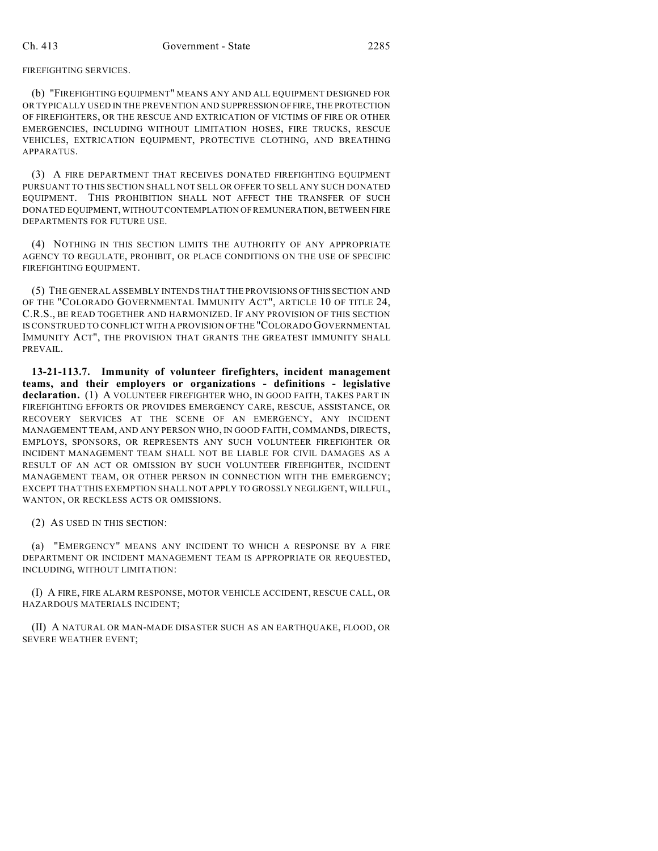## FIREFIGHTING SERVICES.

(b) "FIREFIGHTING EQUIPMENT" MEANS ANY AND ALL EQUIPMENT DESIGNED FOR OR TYPICALLY USED IN THE PREVENTION AND SUPPRESSION OF FIRE, THE PROTECTION OF FIREFIGHTERS, OR THE RESCUE AND EXTRICATION OF VICTIMS OF FIRE OR OTHER EMERGENCIES, INCLUDING WITHOUT LIMITATION HOSES, FIRE TRUCKS, RESCUE VEHICLES, EXTRICATION EQUIPMENT, PROTECTIVE CLOTHING, AND BREATHING APPARATUS.

(3) A FIRE DEPARTMENT THAT RECEIVES DONATED FIREFIGHTING EQUIPMENT PURSUANT TO THIS SECTION SHALL NOT SELL OR OFFER TO SELL ANY SUCH DONATED EQUIPMENT. THIS PROHIBITION SHALL NOT AFFECT THE TRANSFER OF SUCH DONATED EQUIPMENT, WITHOUT CONTEMPLATION OF REMUNERATION, BETWEEN FIRE DEPARTMENTS FOR FUTURE USE.

(4) NOTHING IN THIS SECTION LIMITS THE AUTHORITY OF ANY APPROPRIATE AGENCY TO REGULATE, PROHIBIT, OR PLACE CONDITIONS ON THE USE OF SPECIFIC FIREFIGHTING EQUIPMENT.

(5) THE GENERAL ASSEMBLY INTENDS THAT THE PROVISIONS OF THIS SECTION AND OF THE "COLORADO GOVERNMENTAL IMMUNITY ACT", ARTICLE 10 OF TITLE 24, C.R.S., BE READ TOGETHER AND HARMONIZED. IF ANY PROVISION OF THIS SECTION IS CONSTRUED TO CONFLICT WITH A PROVISION OF THE "COLORADO GOVERNMENTAL IMMUNITY ACT", THE PROVISION THAT GRANTS THE GREATEST IMMUNITY SHALL PREVAIL.

**13-21-113.7. Immunity of volunteer firefighters, incident management teams, and their employers or organizations - definitions - legislative declaration.** (1) A VOLUNTEER FIREFIGHTER WHO, IN GOOD FAITH, TAKES PART IN FIREFIGHTING EFFORTS OR PROVIDES EMERGENCY CARE, RESCUE, ASSISTANCE, OR RECOVERY SERVICES AT THE SCENE OF AN EMERGENCY, ANY INCIDENT MANAGEMENT TEAM, AND ANY PERSON WHO, IN GOOD FAITH, COMMANDS, DIRECTS, EMPLOYS, SPONSORS, OR REPRESENTS ANY SUCH VOLUNTEER FIREFIGHTER OR INCIDENT MANAGEMENT TEAM SHALL NOT BE LIABLE FOR CIVIL DAMAGES AS A RESULT OF AN ACT OR OMISSION BY SUCH VOLUNTEER FIREFIGHTER, INCIDENT MANAGEMENT TEAM, OR OTHER PERSON IN CONNECTION WITH THE EMERGENCY; EXCEPT THAT THIS EXEMPTION SHALL NOT APPLY TO GROSSLY NEGLIGENT, WILLFUL, WANTON, OR RECKLESS ACTS OR OMISSIONS.

(2) AS USED IN THIS SECTION:

(a) "EMERGENCY" MEANS ANY INCIDENT TO WHICH A RESPONSE BY A FIRE DEPARTMENT OR INCIDENT MANAGEMENT TEAM IS APPROPRIATE OR REQUESTED, INCLUDING, WITHOUT LIMITATION:

(I) A FIRE, FIRE ALARM RESPONSE, MOTOR VEHICLE ACCIDENT, RESCUE CALL, OR HAZARDOUS MATERIALS INCIDENT;

(II) A NATURAL OR MAN-MADE DISASTER SUCH AS AN EARTHQUAKE, FLOOD, OR SEVERE WEATHER EVENT;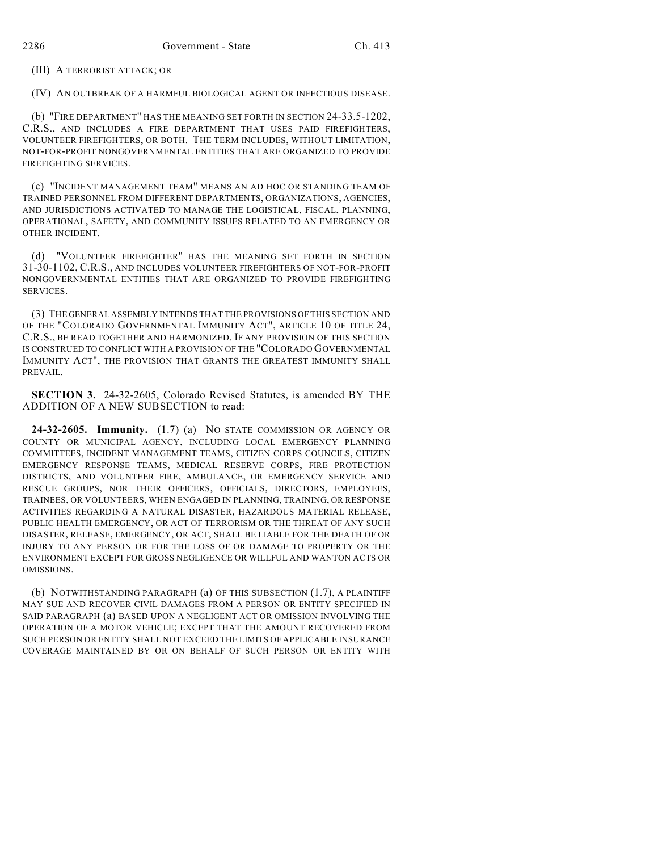(III) A TERRORIST ATTACK; OR

(IV) AN OUTBREAK OF A HARMFUL BIOLOGICAL AGENT OR INFECTIOUS DISEASE.

(b) "FIRE DEPARTMENT" HAS THE MEANING SET FORTH IN SECTION 24-33.5-1202, C.R.S., AND INCLUDES A FIRE DEPARTMENT THAT USES PAID FIREFIGHTERS, VOLUNTEER FIREFIGHTERS, OR BOTH. THE TERM INCLUDES, WITHOUT LIMITATION, NOT-FOR-PROFIT NONGOVERNMENTAL ENTITIES THAT ARE ORGANIZED TO PROVIDE FIREFIGHTING SERVICES.

(c) "INCIDENT MANAGEMENT TEAM" MEANS AN AD HOC OR STANDING TEAM OF TRAINED PERSONNEL FROM DIFFERENT DEPARTMENTS, ORGANIZATIONS, AGENCIES, AND JURISDICTIONS ACTIVATED TO MANAGE THE LOGISTICAL, FISCAL, PLANNING, OPERATIONAL, SAFETY, AND COMMUNITY ISSUES RELATED TO AN EMERGENCY OR OTHER INCIDENT.

(d) "VOLUNTEER FIREFIGHTER" HAS THE MEANING SET FORTH IN SECTION 31-30-1102, C.R.S., AND INCLUDES VOLUNTEER FIREFIGHTERS OF NOT-FOR-PROFIT NONGOVERNMENTAL ENTITIES THAT ARE ORGANIZED TO PROVIDE FIREFIGHTING SERVICES.

(3) THE GENERAL ASSEMBLY INTENDS THAT THE PROVISIONS OF THIS SECTION AND OF THE "COLORADO GOVERNMENTAL IMMUNITY ACT", ARTICLE 10 OF TITLE 24, C.R.S., BE READ TOGETHER AND HARMONIZED. IF ANY PROVISION OF THIS SECTION IS CONSTRUED TO CONFLICT WITH A PROVISION OF THE "COLORADO GOVERNMENTAL IMMUNITY ACT", THE PROVISION THAT GRANTS THE GREATEST IMMUNITY SHALL PREVAIL.

**SECTION 3.** 24-32-2605, Colorado Revised Statutes, is amended BY THE ADDITION OF A NEW SUBSECTION to read:

**24-32-2605. Immunity.** (1.7) (a) NO STATE COMMISSION OR AGENCY OR COUNTY OR MUNICIPAL AGENCY, INCLUDING LOCAL EMERGENCY PLANNING COMMITTEES, INCIDENT MANAGEMENT TEAMS, CITIZEN CORPS COUNCILS, CITIZEN EMERGENCY RESPONSE TEAMS, MEDICAL RESERVE CORPS, FIRE PROTECTION DISTRICTS, AND VOLUNTEER FIRE, AMBULANCE, OR EMERGENCY SERVICE AND RESCUE GROUPS, NOR THEIR OFFICERS, OFFICIALS, DIRECTORS, EMPLOYEES, TRAINEES, OR VOLUNTEERS, WHEN ENGAGED IN PLANNING, TRAINING, OR RESPONSE ACTIVITIES REGARDING A NATURAL DISASTER, HAZARDOUS MATERIAL RELEASE, PUBLIC HEALTH EMERGENCY, OR ACT OF TERRORISM OR THE THREAT OF ANY SUCH DISASTER, RELEASE, EMERGENCY, OR ACT, SHALL BE LIABLE FOR THE DEATH OF OR INJURY TO ANY PERSON OR FOR THE LOSS OF OR DAMAGE TO PROPERTY OR THE ENVIRONMENT EXCEPT FOR GROSS NEGLIGENCE OR WILLFUL AND WANTON ACTS OR OMISSIONS.

(b) NOTWITHSTANDING PARAGRAPH (a) OF THIS SUBSECTION (1.7), A PLAINTIFF MAY SUE AND RECOVER CIVIL DAMAGES FROM A PERSON OR ENTITY SPECIFIED IN SAID PARAGRAPH (a) BASED UPON A NEGLIGENT ACT OR OMISSION INVOLVING THE OPERATION OF A MOTOR VEHICLE; EXCEPT THAT THE AMOUNT RECOVERED FROM SUCH PERSON OR ENTITY SHALL NOT EXCEED THE LIMITS OF APPLICABLE INSURANCE COVERAGE MAINTAINED BY OR ON BEHALF OF SUCH PERSON OR ENTITY WITH